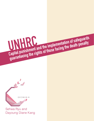Sehwa Ryu and Dayoung Diane Kang

G E C M U N III

UNHRC

**Capital punishment and the implementation of safeguards**<br>Capital punishment and the implementation of safeguards

**guaranteeing the rights of those facing the death penalty**<br>guaranteeing the rights of those facing the death penalty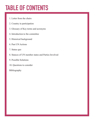# **TABLE OF CONTENTS**

- 1. Letter from the chairs
- 2. Country in participation
- 3. Glossary of Key terms and acronyms
- 4. Introduction to the committee
- 5. Historical background
- 6. Past UN Actions
- 7. Status quo
- 8. Stances of UN member states and Parties Involved
- 9. Possible Solutions
- 10. Questions to consider

Bibliography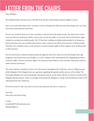## **LETTER FROM THE CHAIRS**

Dear delegates,

We wholeheartedly welcome you to GECMUN III and the United Nations Human Rights Council.

This is your head chair Sehwa Ryu, currently a senior in Branksome Hall Asia and Diane Kang, your vice chair from Korea International School Jeju.

We are very excited to have you to the committee to discuss about the death penalty. The chairs have tried to come up with new, fresh topic which is unseen but crucial; the public is not much aware of the human rights violation occurring from death penalty. The UN has been working to abolish death penalty by devising resolutions, but most were not considered practical as many countries are still in active practice of death penalty. Therefore, the committee aims to seek measures to protect human rights in those regions where death penalty is still in practice.

Not all convicted are sentenced death penalty through fair trials since many are executed despite their age, pregnancy, and mental state even though it is a clear violation of the international laws. Regarding the abuse of human rights, convicts need their rights to be protected from arbitrary trials and false confessions made by unfair tortures and threats.

The chairs wish the committee to have active discussions throughout the conference, and are willing to assist all the delegates if the delegates have any questions regarding the agenda and the process of the debate. We encourage delegates for active participation during all sessions, as the chairs will also try hard to include all the delegates during sessions. Lastly, we strongly recommend the delegates to closely read the Research Guide to be well prepared for the conference.

We look forward to meet you, and if you have any questions, feel free to contact us.

Sincerely, Sehwa Ryu and Diane Kang

E-mail: ryusehwa00791@branksome.asia dykang19@kis.ac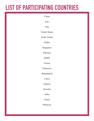## **LIST OF PARTICIPATING COUNTRIES**

| China                |  |  |  |
|----------------------|--|--|--|
| Iran                 |  |  |  |
| Iraq                 |  |  |  |
| <b>United States</b> |  |  |  |
| Saudi Arabia         |  |  |  |
| Sudan                |  |  |  |
| Singapore            |  |  |  |
| Pakistan             |  |  |  |
| <b>DPRK</b>          |  |  |  |
| Yemen                |  |  |  |
| Indonesia            |  |  |  |
| Bangladesh           |  |  |  |
| Libya                |  |  |  |
| Nigeria              |  |  |  |
| Somalia              |  |  |  |
| India                |  |  |  |
| Oman                 |  |  |  |
| Malaysia             |  |  |  |
|                      |  |  |  |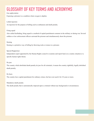### **GLOSSARY OF KEY TERMS AND ACRONYMS**

#### Gas asphyxiation

Exposing a prisoner to a condition where oxygen is deplete.

#### Lethal injection

An injection for the purpose of killing such as euthanasia and death penalty.

#### Firing squad

Also called fusillading, firing squad is a method of capital punishment common in the military or during war. Several soldiers or law enforcement officers surround the prisoner and simultaneously shoot the prisoner.

#### Stoning

Stoning is a primitive way of killing by throwing rocks or stones to a prisoner.

#### Special Rapporteur

Independent expert appointed by the Human Rights council to examine and report back on a country situation or a specific human rights theme.

#### De jure

The country which abolished death penalty de jure for all criminals, it means the country rightfully, legally abolished death penalty.

#### De facto

The country have capital punishment for ordinary crimes, but have not used it for 10 years or more.

#### Mandatory death penalty

The death penalty that is automatically imposed upon a criminal without any background or circumstances.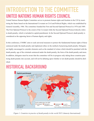## **INTRODUCTION TO THE COMMITTEE UNITED NATIONS HUMAN RIGHTS COUNCIL**

United Nations Human Rights Committee serves to promote human rights and freedom in the UN by monitoring the States based on the International Covenant on Civil and Political Rights, which was established by General Assembly, 1966. The committee founded the First and Second Optional Protocol in 1976 and 1989. The First Optional Protocol is the extent of the Covenant while the Second Optional Protocol directly refers to death penalty, which is included in capital punishment. In the Second Optional Protocol, death penalty is considered as the opposing factor of human dignity and rights.

In this conference, UNHRC aims to seek universal measures to protect the fundamental human rights of those sentenced under the death penalty and implement ethics in the method of practicing death penalty. Delegates are highly encouraged to consider elements such as the standard of crimes which should be punished with the death penalty, age of the criminals sentenced under the death penalty, the form of the death penalty and more. In addition, delegates must be aware that the committee will be in progress only taking those countries practicing death penalty into account, and will not be debating upon whether or not death penalty should be abolished.

### **HISTORICAL BACKGROUND**



Economist.com

*Figure 1. Countries in practice of death penalty in the world 2015 (Amnesty International)*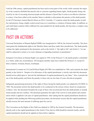Until the 20th century, capital punishment has been used in most parts of the world, while currently the majority of the countries abolished the practice due to concerns regarding human rights. Death penalty being criticized by its risk of executing innocent people and the absence of proof that it works as an effective deterrent to crimes, it has been called on the member States to abolish or discontinue the practice of the death penalty by the UN Secretary General Ban Ki-Moon on 2014. Currently, 37 countries retain the death penalty in both law and practice, being a highly controversial issue as it constitutes a violation of human rights. In addition, as each individual countries follow different law and standard for the death penalty, this becomes a complex issue to be addressed.

### **PAST UN ACTIONS**

Universal Declaration of Human Rights(UDHR) was inaugurated in 1948 by the General Assembly. The document grants the fundamental rights to the Member States and those under their jurisdictions. The death penalty violates the rights mentioned in the document, such as the Article 3, "the right to life" and Article 5, "no one shall be subjected to torture or to cruel, inhuman or degrading treatment or punishment."

European Convention on Human Rights was signed in 1950. In the Protocol 13, the death penalty is abolished as a whole, under any circumstances. All European member states have ratified the Protocol 13, except for three countries: Armenia, Russia, Azerbaijan.

International Covenant on Civil and Political Rights (ICCPR) was established in 1966, and it permits the death penalty in the Article 6. Despite of its allowance of the capital punishment, it strictly rules that this document should not be called upon to "prevent the abolishment of capital punishment by any State." Also, it permits the use of the death penalty and limits the penalty to those who are less than 18 years old and are pregnant.

Safeguards guaranteeing protection of the rights of those facing the death penalty was adopted by ECOSOC in 1984. The document restricts the death penalty to be conducted on the serious crimes, based on conspicuous evidence. Also, the document broadens the scope of those who are protected from the death penalty to include insane people and new mothers. The document guarantee the right of the convict to seek pardon and commutation which is applied to all cases of capital punishment. After stating that the capital punishment should not be applied while pending the following juridical procedure, the document secures that the capital punishment should exercise the least amount of suffering upon the convict.

The Convention on the Rights of the Child was adopted in 1989 by the General Assembly. The document directly refer to the capital punishment in the Article 37(a), that no child should be tortured cruelly, and the capital punishment should not be applied on those below eighteen.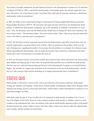The General Assembly adopted the Second Optional Protocol to the International Covenant on Civil and Political Rights (ICCPR) in 1989, to abolish the death penalty in all member states who already signed the Covenant. The Article 1(2) of the Protocol states "each State Party shall take all necessary measures to abolish the death penalty within its jurisdiction."

In 2005, the Office of the United Nations High Commissioner for Human Rights(OHCHR) presented the Human Rights Resolution 2005/59. The document calls upon all states which have not abolished the death penalty "to abolish the death penalty completely and, in the meantime, to establish a moratorium on executions." Also, the document states that the death penalty should only be charged for those who committed "the most serious crimes." The document defines "the most serious crimes" that it "does not go beyond intentional crimes with lethal or extremely grave consequences."

In 2013, the Secretary-General expressed concern about the death penalty, especially towards those who are unjustly imprisoned or executed without clear evidence. Then, he pointed out the problem which was the lack of transparency regarding the number of executions, that the problem is an obstacle for informed, proper debate surrounding the death penalty. Also, he urged the member states which have reintroduced the death penalty after years of moratorium to reconsider the cruel act.

In 2014, the Secretary-General conveyed his trouble upon fourteen states which still practice the death penalty upon children and large groups in mass trials. He proposed three possible ways to abolish the death penalty. The first way is to "ratify the Second Optional Protocol of the International Covenant on Civil and Political Rights," the second is to "support the resolution on the moratorium on the use of the death penalty," and the last is to "take concrete steps towards abolishing or no longer practicing this form of punishment."

### **STATUS QUO**

Death penalty is delivered in various forms, such as gas injection, electrocution, lethal gas, firing squad, stoning, gas chamber, and hanging. Certain forms of death penalty, including gas asphyxiation, hanging, lethal injection and stoning, involves serious pain and torture, which clearly violates International Covenant on Civil and Political Rights (ICCPR).

Individuals under the age of 18 are not allowed to be sentenced to death penalty according to the Convention of the Rights of the Child. However, some countries sentence death penalty to children, which is a clear violation to the international law. Also, the arbitrary trials and the death penalty imposed on those with mental disorder question the victims' rights to receive fair trials. Many victims were and are under the capital punishment wrongly, and the incidents are listed below.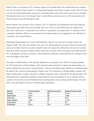Edwin Turner was executed in 2012, America, despite of his mental illness. His mental illness was conspicuous since his family all had a history of visiting mental hospitals and trying to commit suicide. However, there is no law preventing death penalty upon those with mental illness unless the convict is proved to be mentally ill during the crime scene. Even though Turner's mental illness was proven, he was still executed after robbing the grocery store and shooting the clerk.

Marvin Willson was executed in 2012, America. The U.S. Supreme Court prohibited courts from imposing death penalty upon those who lack knowledge. However, Texas executed Willson anyway, despite of his lack of IQ, which was 61, scoring the lowest of the U.S. population. According to the U.S. Supreme Court's 'retardation' definition, Willson was protected from the death penalty. Texas suggested its own definition of 'retardation' and executed Wilson.

Mohammad Hassanzadeh was 14 years old Kurdish boy when he was convicted of murder in Iran, and hanged in 2008. Two years later, despite of his age of 16, Hassanzadeh was executed without any prior information to his father about his execution schedule; Iranic law require the notification to be sent out to parents about their child's execution schedule 48 hours before the execution. There were many cases following after this, including the execution of juveniles. The international community condemned Iran for violating Convention of the Rights of the Child.

The impose of death penalty on the mentally disordered is not granted, since 1999, the meeting regarding the UN Commission on Human Rights, which stated the nations should not "impose the death penalty on a person suffering from any form of mental disorder." However, the death penalty still haven't abolished neither the rights of the victims are being granted. Despite of the UN Commission on Human Rights, countries still impose death penalty wrongly, especially on children, pregnant women, and mentally disordered people. The international laws established regarding to death penalty are seen nonchalantly by some countries, that the countries even treat the convicted brutally before executing them, such as lashing and threatening. The chart below is the percentage of America's botched capital punishment.

| Method              | <b>Total Executions</b> | <b>Botched Executions</b> | <b>Botched Execution Rate</b> |
|---------------------|-------------------------|---------------------------|-------------------------------|
| Hanging             | 2,721                   | 85                        | 3.12%                         |
| Electrocution       | 4,374                   | 84                        | 1.92%                         |
| <b>Lethal Gas</b>   | 593                     | 32                        | 5.4%                          |
| Lethal Injection    | 1,054                   | 75                        | 7.12%                         |
| <b>Firing Squad</b> | 34                      | 10                        | 0%                            |
| <b>All Methods</b>  | 8,776                   | 276                       | 3.15%                         |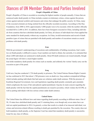### **Stances of UN Member States and Parties Involved**

#### **People's Republic of China**

People's Republic of China is recorded as executing the highest number of people annually. Crimes that are sentenced under death penalty in China includes counter-revolutionary crimes, crimes against the person, crimes against national symbols and treasures and crimes that endanger the public security. In China, many of the executed criminals are being omitted from the officially recorded executions. According to Dui Hua Foundation, from 2008 to 2010, approximately 5,000 people were to be executed, while the number officially recorded fell to 2,400 in 2013. In addition, there have been foreigners executed in China, including individuals from countries that have abolished death penalty. In China, all classes of individuals have been applied the same standard for death penalty without any exceptions. In China, invalid motorization and record of death penalties types of crimes that are punished with death penalty and number of executions remain as crucial problems with death penalty.

#### **Iran**

With the government's underreporting of executions and confidentiality of holding executions, Iran's statistics on Death penalty is difficult to assess. Exact numbers are hard to obtain, but currently, it is estimated that about 2,000 individuals are sentenced to death penalty. About 80 death sentences are issued annually, though the actual figure will show a much higher number.

Iran holds mandatory death penalty for crimes such as murder, and seldomly the victims' family carry out the execution as part of the penal.

#### **Iraq**

Until now, Iraq has conducted 1,724 death penalty to prisoners. The United Nations Human Rights Committee has confirmed in 2015 that about 1,700 prisoners were on death row. Iraq conducts extrajudicial killings, which includes putting individuals that had same-sex relations under death sentence. With the presence of Kurdistan Regional Government, laws and legislations regarding death penalty constantly gets amended, which complicates the issue of fair and judicial capital punishment. Iraq has its main concern regarding the death penalty with the fact that the capital punishments are issued to juveniles, which violates the ICCPR, as well as putting individuals with less serious crimes under death sentence.

#### **United States**

The United States has different laws and status regarding death penalty according to different states. Out of 50, 19 states have abolished death penalty and 31 retaining them, even though only seven states have carried out capital punishment in 2014. In general, a crime that results in a death of an innocent individual, war crimes and terrorism-related offenses resulting in death gets punished by the execution. The country does not hold mandatory death penalty, as the Supreme Court has stated that mandatory death penalty is unconstitutional for any class of offense.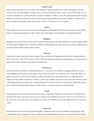#### **Saudi Arabia**

Saudi Arabia ranks third in the world for the number of capital punishments. Public beheading is the most common form of death penalty in Saudi Arabia. It has been reported that in some occasions the body was exposed and abandoned to public after the execution of highway robbery. Also, the capital punishments include arbitrary, unfair trials and brutal tortures. Saudi Arabia charge death penalty upon foreigners, migrants, the poor, juveniles for profanity, drug, and sorcery. In 2016, 47 prisoners were executed.

#### **Sudan**

Sudan holds a retentionist stance towards death penalty as the number of individuals sentenced under death penalty is decreasing annually. In 2011, about seven individuals were punished by capital punishment.

#### **Singapore**

Singapore government does not release the official information on the death penalty, so accurate figure cannot be determined. Singapore laws maintain mandatory death penalty for some cases such as drug trafficking and terrorism related offenses that result in death.

#### **Pakistan**

Pakistan also does not provide official figures, but according to the figures provided by the organization Reprieve, there have been 78 executions in July. Pakistan maintains mandatory death penalty for crimes such as aggravated murder, adultery, and robbery through force.

#### **North Korea**

North Korea does not hold a mandated legislation of execution, but normally it suggests authorities to use both hanging and shooting by firing squad. Most of the executions are carried secretly while often there are public executions to serve as an example to others. Prisoners have reported that there are annually about fifteen to twenty public executions. In 2005, a video tape of public execution of two men was released. About 1,500 people gathered as spectators, and the prisoners were shot from the rear three times. Before the execution, an official announced the charges of their crime as 'being the traitors of the fatherland'.

#### **Yemen**

Yemen practices most of the execution by the means of shooting. Mandatory death penalty is held for those prisoners who have committed crimes such as murder, drug trafficking and more. However, if the family of the victim by any means forgive the offender, the courts are forbidden to practice death penalty to such individual.

#### **Indonesia**

Indonesia holds most of the death penalties public. Indonesia does not hold mandatory death penalty. Individuals below age 18, pregnant women, intellectually disabled and mentally ill are excluded from the death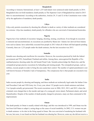#### **Bangladesh**

According to Amnesty International, at least 1,235 individuals were sentenced under death penalty in 2014. Bangladesh does not hold mandatory death penalty as The Supreme Court of Bangladesh has stated in 2015 that it is unconstitutional. According to the authorities, Articles 29, 31 and 32 of the Constitution were violated by the application of mandatory death penalty.

#### **Libya**

Libya only permits executions by shooting the offender to death as variety of other methods are considered too extreme. Libya has mandatory death penalty for offenders who are convicted of international homicides.

#### **Nigeria**

Nigeria have four methods of execution: hanging, shooting, stoning, crucifixion. Even though its execution is immoral and unconstitutional, its executions are justified by Sharia law- Islamic law derived from Islamic texts such as Quran. have unlawfully executed four people in 2013 when all of them still had appeals pending. Currently, there are 1,233 people under the death sentence, but the last execution was 2013.

#### **Somalia**

Somalia uses shooting and crucifixion for execution. However, the execution practiced by both the federal government and TFG, Somaliland, Puntland and militia. Among these, unrecognized the Republic of Somaliland practice shooting under the old Somali Penal Code. Somalia acknowledge the Sharia law, and the extrajudicial groups practice executions by beheading and stoning people. The extrajudicial groups, such as militias, execute people in order to bring the area under their control. The number of capital punishment is not well known because of Somalia's lack of transparency. The conspicuous fact is that people are executed every year.

#### **India**

India execute people by shooting and hanging, and these methods are technically legal under the Indian Criminal Procedure Code and 1950 Army Act. Every year, about 132 people receive death sentences and about 3 to 4 people actually get persecuted. The recent executions were in 2004, 2012, 2013, and 2015, where the criminals were charged due to the murder and rape of a young girl, terror attack, Parliament attack, and serial blasts(bombs). Despite of the number of death penalty charged to prisoners, many are then commuted to life imprisonment.

#### **Oman**

The death penalty in Oman is usually related with drugs, and this was introduced in 1999, and Oman was the last from Gulf States to adapt it, seeing drugs as the cause of social instability. In 2002, U.S. woman was put to death sentence- to be shot in the firing squad in Oman. She was convicted of murdering her husband with her son, but soon, it was found out that her husband was abusing her. However, some say she did not receive a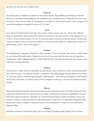fair trial, since the trial was in Arabic solely.

#### **Malaysia**

The death penalty in Malaysia is imposed on these three: murder, drug trafficking, discharging of firearm. When one is accused of drug trafficking, one would have the exceeding amount of drugs than they may have. In Malaysia, those who are under 18, are pregnant, or mentally ill cannot be persecuted. If one is pregnant, the maximum punishment is being held in prison for 20 years.

#### **Syria**

Syria impose the death penalty upon those who murder, commit treason, rape, etc. (Those who trafficked drugs are imposed life imprisonment.)The number of executed are not clear, because of the ongoing civil war in Syria. The government passed a new law to counteract against terrorism, stating that anyone who provides weapons intended for the use of terrorism. When UN voted on the Resolution on a Moratorium on the Use of Death Penalty in 2014, Syria voted against it.

#### **Thailand**

The death penalty is imposed in Thailand by lethal injections. Those who murder, rape, treason, traffick drugs, etc, are imposed the death penalty. Thailand is notorious for the prison only for those who are imposed on death penalty, which is Bangkwang prison. Since Thailand is the main route for the drugs, the country is especially harsh on drug trafficking.

#### **Vietnam**

Vietnam had 21 crimes which are punishable by death penalty until reformation in 2010, reducing the punishable crimes by death. UN looked at Vietnam's constitution with strong disapproval and asked to revise Article 79, "activities aimed at overthrowing the people's administration," since this may be applied to both terrorism and exercise on freedom. In Vietnam, anyone who is pregnant or under age 3 are not to be imposed on death penalty.

#### **Belarus**

Belarus has harsh death penalty, because the country do not let people to receive the body of those who were sentenced to death and never reveals the burial site. Many international communities urged Belarus to cease from brutal capital punishment, especially UN. UN frowned upon Belarus capital punishment, because the country's violation to Optional Protocol to the International Covenant on Civil and Political Rights(ICCPR). because the country's violation to Optional Protocol to the International Covenant on Civil and Political Rights(ICCPR).

#### **Ethiopia**

Ethiopian constitution includes the right to life, but still keeps the death penalty. Despite of its existence,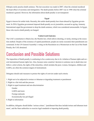Ethiopia rarely practice death sentence. The last execution was made in 2007, when the criminal murdered the head officer of secretary and immigration. The death penalty before 2007 was in 1998 when the criminal murdered a general. However, the information about death penalty is not transparent

#### **Egypt**

Egypt is known for unfair trials. Recently, this unfair death penalty have been abused by Egyptian government. In 2016, Egyptian government imposed death penalty on six journalists, accused as spying. Amnesty International urged the government to drop the death sentence, which was considered unreasonable. In Egypt, those who receive death penalty are hanged.

#### **United Arab Emirates**

The UAE's constitution is Sharia law, the Muslim law, which allows shooting, or rarely, stoning as the execution method. Despite of the existence of capital punishment, people are rarely executed; their punishments are commuted. In the UN General Assembly's voting on the Resolution on a Moratorium on the Use of the Death Penalty, the UAE abstained.

### **Conclusion and Possible Solutions**

The imposition of death penalty is continuing to be a controversy due to its violation of human rights and several international human rights law. Also, because some countries' decision to sentence one to death does not follow a strict criteria, the rights of the minorities, which includes the poor, women, foreigners, children and LGBTs, are often the common targets of mistreatment.

Delegates should seek measures to protect the rights of convicts under such criteria:

- 1. Right not to be subjected to torture or inhuman or degrading treatment or punishment
- 2. Right to a fair trial and due process
- 3. Right to equal treatment and non-discrimination
	- Gender LGBTs and more Foreign nationals Economically less privileged
- 4. Right to information

In addition, delegates should define 'serious crimes', 'punishment that does include torture and inhuman treatment', and the State authorities to exercise legal standards to imposing death penalty.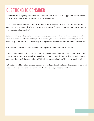### **QUESTIONS TO CONSIDER**

1. Countries where capital punishment is justified claims the use of it to be only applied on 'serious' crimes. What is the definition of 'serious' crimes? How can it be defined?

2. Some prisoners are sentenced to capital punishment due to arbitrary and unfair trials. How should such prisoners' rights be protected? What should be the consequence if a prisoner punished by capital punishment was proven to be innocent later?

3. Some countries practice capital punishment for religious reasons, such as blasphemy (the act of speaking sacrilegiously about God or sacred things). How can the rights of prisoners of such crimes be protected? Should they be punished at all? Should religion be a justifiable reason to sentence one under death penalty?

4. How should the rights of juveniles and women be protected from the capital punishment?

5. Every countries have different laws and policies regarding capital punishment. If a foreigner from a country where capital punishment was abolished commits a crime that violates the law that deserves capital punishment, how should such foreigner be judged? Who should judge the foreigner? How about immigrants?

6. Countries should reveal the authentic statistics of capital punishments and of practices of executions. What should be the incentives for those countries which refuse to divulge the actual number?